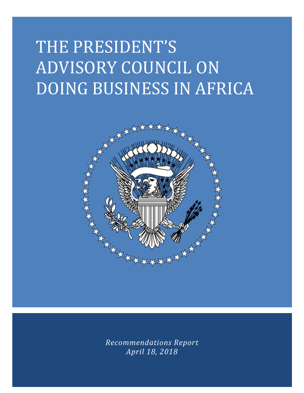# THE PRESIDENT'S ADVISORY COUNCIL ON DOING BUSINESS IN AFRICA



*Recommendations Report April 18, 2018*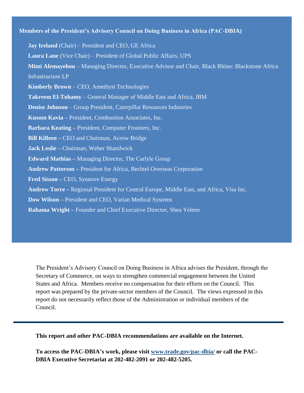# **Members of the President's Advisory Council on Doing Business in Africa (PAC-DBIA)**

**Jay Ireland** (Chair) – President and CEO, GE Africa **Laura Lane** (Vice Chair) – President of Global Public Affairs, UPS **Mimi Alemayehou** – Managing Director, Executive Advisor and Chair, Black Rhino: Blackstone Africa Infrastructure LP **Kimberly Brown** – CEO, Amethyst Technologies **Takreem El-Tohamy** – General Manager of Middle East and Africa, IBM **Denise Johnson** – Group President, Caterpillar Resources Industries **Kusum Kavia –** President, Combustion Associates, Inc. **Barbara Keating –** President, Computer Frontiers, Inc. **Bill Killeen –** CEO and Chairman, Acrow Bridge **Jack Leslie –** Chairman, Weber Shandwick **Edward Mathias –** Managing Director, The Carlyle Group **Andrew Patterson –** President for Africa, Bechtel Overseas Corporation **Fred Sisson –** CEO, Synnove Energy **Andrew Torre –** Regional President for Central Europe, Middle East, and Africa, Visa Inc. **Dow Wilson –** President and CEO, Varian Medical Systems **Rahama Wright –** Founder and Chief Executive Director, Shea Yeleen

The President's Advisory Council on Doing Business in Africa advises the President, through the Secretary of Commerce, on ways to strengthen commercial engagement between the United States and Africa. Members receive no compensation for their efforts on the Council. This report was prepared by the private-sector members of the Council. The views expressed in this report do not necessarily reflect those of the Administration or individual members of the Council.

**This report and other PAC-DBIA recommendations are available on the Internet.**

**To access the PAC-DBIA's work, please visit [www.trade.gov/pac-dbia/](http://www.trade.gov/pac-dbia/) or call the PAC-DBIA Executive Secretariat at 202-482-2091 or 202-482-5205.**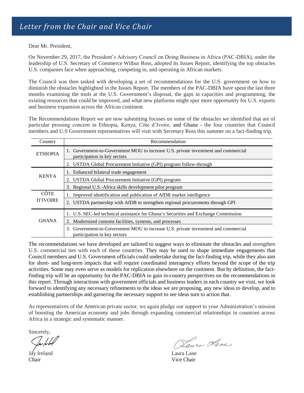Dear Mr. President,

On November 29, 2017, the President's Advisory Council on Doing Business in Africa (PAC-DBIA), under the leadership of U.S. Secretary of Commerce Wilbur Ross, adopted its Issues Report, identifying the top obstacles U.S. companies face when approaching, competing in, and operating in African markets.

The Council was then tasked with developing a set of recommendations for the U.S. government on how to diminish the obstacles highlighted in the Issues Report. The members of the PAC-DBIA have spent the last three months examining the tools at the U.S. Government's disposal, the gaps in capacities and programming, the existing resources that could be improved, and what new platforms might spur more opportunity for U.S. exports and business expansion across the African continent.

The Recommendations Report we are now submitting focuses on some of the obstacles we identified that are of particular pressing concern in Ethiopia, Kenya, Côte d'Ivoire, and Ghana - the four countries that Council members and U.S Government representatives will visit with Secretary Ross this summer on a fact-finding trip.

| Country                 | Recommendation                                                                                                     |
|-------------------------|--------------------------------------------------------------------------------------------------------------------|
| <b>ETHIOPIA</b>         | 1. Government-to-Government MOU to increase U.S. private investment and commercial<br>participation in key sectors |
|                         | 2. USTDA Global Procurement Initiative (GPI) program follow-through                                                |
| <b>KENYA</b>            | 1. Enhanced bilateral trade engagement                                                                             |
|                         | 2. USTDA Global Procurement Initiative (GPI) program                                                               |
|                         | 3. Regional U.S.-Africa skills development pilot program                                                           |
| <b>CÔTE</b><br>D'IVOIRE | 1. Improved identification and publication of AfDB market intelligence                                             |
|                         | 2. USTDA partnership with AfDB to strengthen regional procurements through GPI                                     |
| <b>GHANA</b>            | 1. U.S. SEC-led technical assistance for Ghana's Securities and Exchange Commission                                |
|                         | 2. Modernized customs facilities, systems, and processes                                                           |
|                         | 3. Government-to-Government MOU to increase U.S. private investment and commercial<br>participation in key sectors |

The recommendations we have developed are tailored to suggest ways to eliminate the obstacles and strengthen U.S. commercial ties with each of these countries. They may be used to shape immediate engagements that Council members and U.S. Government officials could undertake during the fact-finding trip, while they also aim for short- and long-term impacts that will require coordinated interagency efforts beyond the scope of the trip activities. Some may even serve as models for replication elsewhere on the continent. But by definition, the factfinding trip will be an opportunity for the PAC-DBIA to gain in-country perspectives on the recommendations in this report. Through interactions with government officials and business leaders in each country we visit, we look forward to identifying any necessary refinements to the ideas we are proposing, any new ideas to develop, and to establishing partnerships and garnering the necessary support to see ideas turn to action that.

As representatives of the American private sector, we again pledge our support to your Administration's mission of boosting the American economy and jobs through expanding commercial relationships in countries across Africa in a strategic and systematic manner.

Sincerely,

Jay Ireland Laura Lane Chair Vice Chair

Laura Lare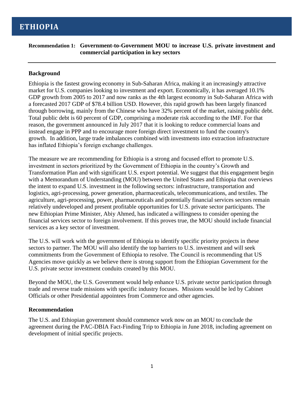# **Recommendation 1: Government-to-Government MOU to increase U.S. private investment and commercial participation in key sectors**

# **Background**

Ethiopia is the fastest growing economy in Sub-Saharan Africa, making it an increasingly attractive market for U.S. companies looking to investment and export. Economically, it has averaged 10.1% GDP growth from 2005 to 2017 and now ranks as the 4th largest economy in Sub-Saharan Africa with a forecasted 2017 GDP of \$78.4 billion USD. However, this rapid growth has been largely financed through borrowing, mainly from the Chinese who have 32% percent of the market, raising public debt. Total public debt is 60 percent of GDP, comprising a moderate risk according to the IMF. For that reason, the government announced in July 2017 that it is looking to reduce commercial loans and instead engage in PPP and to encourage more foreign direct investment to fund the country's growth. In addition, large trade imbalances combined with investments into extraction infrastructure has inflated Ethiopia's foreign exchange challenges.

The measure we are recommending for Ethiopia is a strong and focused effort to promote U.S. investment in sectors prioritized by the Government of Ethiopia in the country's Growth and Transformation Plan and with significant U.S. export potential. We suggest that this engagement begin with a Memorandum of Understanding (MOU) between the United States and Ethiopia that overviews the intent to expand U.S. investment in the following sectors: infrastructure, transportation and logistics, agri-processing, power generation, pharmaceuticals, telecommunications, and textiles. The agriculture, agri-processing, power, pharmaceuticals and potentially financial services sectors remain relatively undeveloped and present profitable opportunities for U.S. private sector participants. The new Ethiopian Prime Minister, Abiy Ahmed, has indicated a willingness to consider opening the financial services sector to foreign involvement. If this proves true, the MOU should include financial services as a key sector of investment.

The U.S. will work with the government of Ethiopia to identify specific priority projects in these sectors to partner. The MOU will also identify the top barriers to U.S. investment and will seek commitments from the Government of Ethiopia to resolve. The Council is recommending that US Agencies move quickly as we believe there is strong support from the Ethiopian Government for the U.S. private sector investment conduits created by this MOU.

Beyond the MOU, the U.S. Government would help enhance U.S. private sector participation through trade and reverse trade missions with specific industry focuses. Missions would be led by Cabinet Officials or other Presidential appointees from Commerce and other agencies.

# **Recommendation**

The U.S. and Ethiopian government should commence work now on an MOU to conclude the agreement during the PAC-DBIA Fact-Finding Trip to Ethiopia in June 2018, including agreement on development of initial specific projects.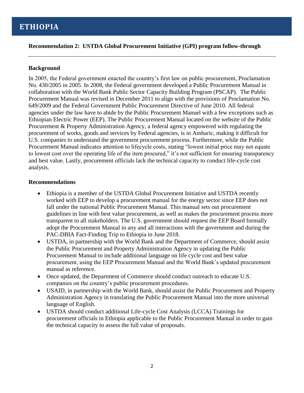# **ETHIOPIA**

**Recommendation 2: USTDA Global Procurement Initiative (GPI) program follow-through**

#### **Background**

In 2005, the Federal government enacted the country's first law on public procurement, Proclamation No. 430/2005 in 2005. In 2008, the Federal government developed a Public Procurement Manual in collaboration with the World Bank Public Sector Capacity Building Program (PSCAP). The Public Procurement Manual was revised in December 2011 to align with the provisions of Proclamation No. 649/2009 and the Federal Government Public Procurement Directive of June 2010. All federal agencies under the law have to abide by the Public Procurement Manuel with a few exceptions such as Ethiopian Electric Power (EEP). The Public Procurement Manual located on the website of the Public Procurement & Property Administration Agency, a federal agency empowered with regulating the procurement of works, goods and services by Federal agencies, is in Amharic, making it difficult for U.S. companies to understand the government procurement process. Furthermore, while the Public Procurement Manual indicates attention to lifecycle costs, stating "lowest initial price may not equate to lowest cost over the operating life of the item procured," it's not sufficient for ensuring transparency and best value. Lastly, procurement officials lack the technical capacity to conduct life-cycle cost analysis.

#### **Recommendations**

- Ethiopia is a member of the USTDA Global Procurement Initiative and USTDA recently worked with EEP to develop a procurement manual for the energy sector since EEP does not fall under the national Public Procurement Manual. This manual sets out procurement guidelines in line with best value procurement, as well as makes the procurement process more transparent to all stakeholders. The U.S. government should request the EEP Board formally adopt the Procurement Manual in any and all interactions with the government and during the PAC-DBIA Fact-Finding Trip to Ethiopia in June 2018.
- USTDA, in partnership with the World Bank and the Department of Commerce, should assist the Public Procurement and Property Administration Agency in updating the Public Procurement Manual to include additional language on life cycle cost and best value procurement, using the EEP Procurement Manual and the World Bank's updated procurement manual as reference.
- Once updated, the Department of Commerce should conduct outreach to educate U.S. companies on the country's public procurement procedures.
- USAID, in partnership with the World Bank, should assist the Public Procurement and Property Administration Agency in translating the Public Procurement Manual into the more universal language of English.
- USTDA should conduct additional Life-cycle Cost Analysis (LCCA) Trainings for procurement officials in Ethiopia applicable to the Public Procurement Manual in order to gain the technical capacity to assess the full value of proposals.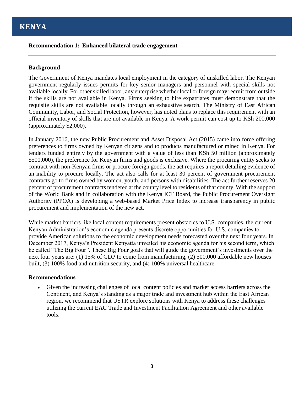# **Recommendation 1: Enhanced bilateral trade engagement**

#### **Background**

The Government of Kenya mandates local employment in the category of unskilled labor. The Kenyan government regularly issues permits for key senior managers and personnel with special skills not available locally. For other skilled labor, any enterprise whether local or foreign may recruit from outside if the skills are not available in Kenya. Firms seeking to hire expatriates must demonstrate that the requisite skills are not available locally through an exhaustive search. The Ministry of East African Community, Labor, and Social Protection, however, has noted plans to replace this requirement with an official inventory of skills that are not available in Kenya. A work permit can cost up to KSh 200,000 (approximately \$2,000).

In January 2016, the new Public Procurement and Asset Disposal Act (2015) came into force offering preferences to firms owned by Kenyan citizens and to products manufactured or mined in Kenya. For tenders funded entirely by the government with a value of less than KSh 50 million (approximately \$500,000), the preference for Kenyan firms and goods is exclusive. Where the procuring entity seeks to contract with non-Kenyan firms or procure foreign goods, the act requires a report detailing evidence of an inability to procure locally. The act also calls for at least 30 percent of government procurement contracts go to firms owned by women, youth, and persons with disabilities. The act further reserves 20 percent of procurement contracts tendered at the county level to residents of that county. With the support of the World Bank and in collaboration with the Kenya ICT Board, the Public Procurement Oversight Authority (PPOA) is developing a web-based Market Price Index to increase transparency in public procurement and implementation of the new act.

While market barriers like local content requirements present obstacles to U.S. companies, the current Kenyan Administration's economic agenda presents discrete opportunities for U.S. companies to provide American solutions to the economic development needs forecasted over the next four years. In December 2017, Kenya's President Kenyatta unveiled his economic agenda for his second term, which he called "The Big Four". These Big Four goals that will guide the government's investments over the next four years are: (1) 15% of GDP to come from manufacturing, (2) 500,000 affordable new houses built, (3) 100% food and nutrition security, and (4) 100% universal healthcare.

# **Recommendations**

• Given the increasing challenges of local content policies and market access barriers across the Continent, and Kenya's standing as a major trade and investment hub within the East African region, we recommend that USTR explore solutions with Kenya to address these challenges utilizing the current EAC Trade and Investment Facilitation Agreement and other available tools.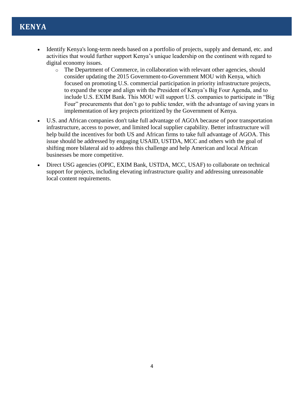# **KENYA**

- Identify Kenya's long-term needs based on a portfolio of projects, supply and demand, etc. and activities that would further support Kenya's unique leadership on the continent with regard to digital economy issues.
	- o The Department of Commerce, in collaboration with relevant other agencies, should consider updating the 2015 Government-to-Government MOU with Kenya, which focused on promoting U.S. commercial participation in priority infrastructure projects, to expand the scope and align with the President of Kenya's Big Four Agenda, and to include U.S. EXIM Bank. This MOU will support U.S. companies to participate in "Big Four" procurements that don't go to public tender, with the advantage of saving years in implementation of key projects prioritized by the Government of Kenya.
- U.S. and African companies don't take full advantage of AGOA because of poor transportation infrastructure, access to power, and limited local supplier capability. Better infrastructure will help build the incentives for both US and African firms to take full advantage of AGOA. This issue should be addressed by engaging USAID, USTDA, MCC and others with the goal of shifting more bilateral aid to address this challenge and help American and local African businesses be more competitive.
- Direct USG agencies (OPIC, EXIM Bank, USTDA, MCC, USAF) to collaborate on technical support for projects, including elevating infrastructure quality and addressing unreasonable local content requirements.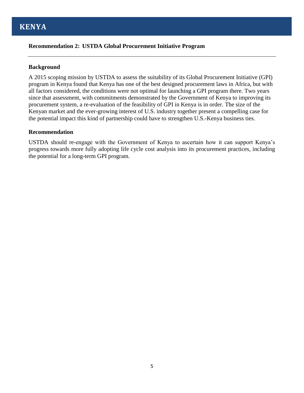# **Recommendation 2: USTDA Global Procurement Initiative Program**

# **Background**

A 2015 scoping mission by USTDA to assess the suitability of its Global Procurement Initiative (GPI) program in Kenya found that Kenya has one of the best designed procurement laws in Africa, but with all factors considered, the conditions were not optimal for launching a GPI program there. Two years since that assessment, with commitments demonstrated by the Government of Kenya to improving its procurement system, a re-evaluation of the feasibility of GPI in Kenya is in order. The size of the Kenyan market and the ever-growing interest of U.S. industry together present a compelling case for the potential impact this kind of partnership could have to strengthen U.S.-Kenya business ties.

#### **Recommendation**

USTDA should re-engage with the Government of Kenya to ascertain how it can support Kenya's progress towards more fully adopting life cycle cost analysis into its procurement practices, including the potential for a long-term GPI program.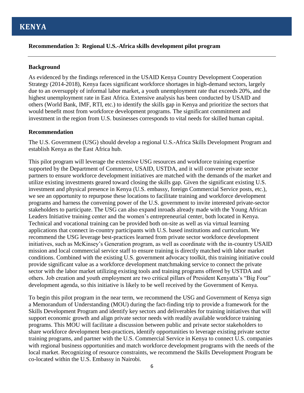# **Recommendation 3: Regional U.S.-Africa skills development pilot program**

# **Background**

As evidenced by the findings referenced in the USAID Kenya Country Development Cooperation Strategy (2014-2018), Kenya faces significant workforce shortages in high-demand sectors, largely due to an oversupply of informal labor market, a youth unemployment rate that exceeds 20%, and the highest unemployment rate in East Africa. Extensive analysis has been conducted by USAID and others (World Bank, IMF, RTI, etc.) to identify the skills gap in Kenya and prioritize the sectors that would benefit most from workforce development programs. The significant commitment and investment in the region from U.S. businesses corresponds to vital needs for skilled human capital.

# **Recommendation**

The U.S. Government (USG) should develop a regional U.S.-Africa Skills Development Program and establish Kenya as the East Africa hub.

This pilot program will leverage the extensive USG resources and workforce training expertise supported by the Department of Commerce, USAID, USTDA, and it will convene private sector partners to ensure workforce development initiatives are matched with the demands of the market and utilize existing investments geared toward closing the skills gap. Given the significant existing U.S. investment and physical presence in Kenya (U.S. embassy, foreign Commercial Service posts, etc.), we see an opportunity to repurpose these locations to facilitate training and workforce development programs and harness the convening power of the U.S. government to invite interested private-sector stakeholders to participate. The USG can also expand inroads already made with the Young African Leaders Initiative training center and the women's entrepreneurial center, both located in Kenya. Technical and vocational training can be provided both on-site as well as via virtual learning applications that connect in-country participants with U.S. based institutions and curriculum. We recommend the USG leverage best-practices learned from private sector workforce development initiatives, such as McKinsey's Generation program, as well as coordinate with the in-country USAID mission and local commercial service staff to ensure training is directly matched with labor market conditions. Combined with the existing U.S. government advocacy toolkit, this training initiative could provide significant value as a workforce development matchmaking service to connect the private sector with the labor market utilizing existing tools and training programs offered by USTDA and others. Job creation and youth employment are two critical pillars of President Kenyatta's "Big Four" development agenda, so this initiative is likely to be well received by the Government of Kenya.

To begin this pilot program in the near term, we recommend the USG and Government of Kenya sign a Memorandum of Understanding (MOU) during the fact-finding trip to provide a framework for the Skills Development Program and identify key sectors and deliverables for training initiatives that will support economic growth and align private sector needs with readily available workforce training programs. This MOU will facilitate a discussion between public and private sector stakeholders to share workforce development best-practices, identify opportunities to leverage existing private sector training programs, and partner with the U.S. Commercial Service in Kenya to connect U.S. companies with regional business opportunities and match workforce development programs with the needs of the local market. Recognizing of resource constraints, we recommend the Skills Development Program be co-located within the U.S. Embassy in Nairobi.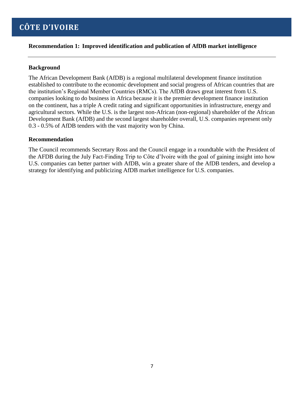# **Recommendation 1: Improved identification and publication of AfDB market intelligence**

# **Background**

The African Development Bank (AfDB) is a regional multilateral development finance institution established to contribute to the economic development and social progress of African countries that are the institution's Regional Member Countries (RMCs). The AfDB draws great interest from U.S. companies looking to do business in Africa because it is the premier development finance institution on the continent, has a triple A credit rating and significant opportunities in infrastructure, energy and agricultural sectors. While the U.S. is the largest non-African (non-regional) shareholder of the African Development Bank (AfDB) and the second largest shareholder overall, U.S. companies represent only 0.3 - 0.5% of AfDB tenders with the vast majority won by China.

# **Recommendation**

The Council recommends Secretary Ross and the Council engage in a roundtable with the President of the AFDB during the July Fact-Finding Trip to Côte d'Ivoire with the goal of gaining insight into how U.S. companies can better partner with AfDB, win a greater share of the AfDB tenders, and develop a strategy for identifying and publicizing AfDB market intelligence for U.S. companies.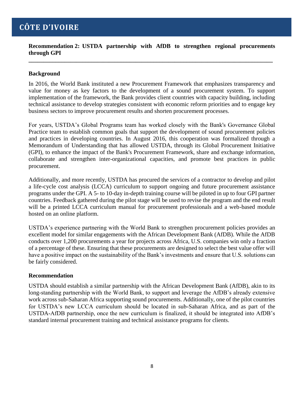**Recommendation 2: USTDA partnership with AfDB to strengthen regional procurements through GPI**

**\_\_\_\_\_\_\_\_\_\_\_\_\_\_\_\_\_\_\_\_\_\_\_\_\_\_\_\_\_\_\_\_\_\_\_\_\_\_\_\_\_\_\_\_\_\_\_\_\_\_\_\_\_\_\_\_\_\_\_\_\_\_\_\_\_\_\_\_\_\_\_\_\_\_\_\_\_\_\_\_\_\_**

# **Background**

In 2016, the World Bank instituted a new Procurement Framework that emphasizes transparency and value for money as key factors to the development of a sound procurement system. To support implementation of the framework, the Bank provides client countries with capacity building, including technical assistance to develop strategies consistent with economic reform priorities and to engage key business sectors to improve procurement results and shorten procurement processes.

For years, USTDA's Global Programs team has worked closely with the Bank's Governance Global Practice team to establish common goals that support the development of sound procurement policies and practices in developing countries. In August 2016, this cooperation was formalized through a Memorandum of Understanding that has allowed USTDA, through its Global Procurement Initiative (GPI), to enhance the impact of the Bank's Procurement Framework, share and exchange information, collaborate and strengthen inter-organizational capacities, and promote best practices in public procurement.

Additionally, and more recently, USTDA has procured the services of a contractor to develop and pilot a life-cycle cost analysis (LCCA) curriculum to support ongoing and future procurement assistance programs under the GPI. A 5- to 10-day in-depth training course will be piloted in up to four GPI partner countries. Feedback gathered during the pilot stage will be used to revise the program and the end result will be a printed LCCA curriculum manual for procurement professionals and a web-based module hosted on an online platform.

USTDA's experience partnering with the World Bank to strengthen procurement policies provides an excellent model for similar engagements with the African Development Bank (AfDB). While the AfDB conducts over 1,200 procurements a year for projects across Africa, U.S. companies win only a fraction of a percentage of these. Ensuring that these procurements are designed to select the best value offer will have a positive impact on the sustainability of the Bank's investments and ensure that U.S. solutions can be fairly considered.

# **Recommendation**

USTDA should establish a similar partnership with the African Development Bank (AfDB), akin to its long-standing partnership with the World Bank, to support and leverage the AfDB's already extensive work across sub-Saharan Africa supporting sound procurements. Additionally, one of the pilot countries for USTDA's new LCCA curriculum should be located in sub-Saharan Africa, and as part of the USTDA-AfDB partnership, once the new curriculum is finalized, it should be integrated into AfDB's standard internal procurement training and technical assistance programs for clients.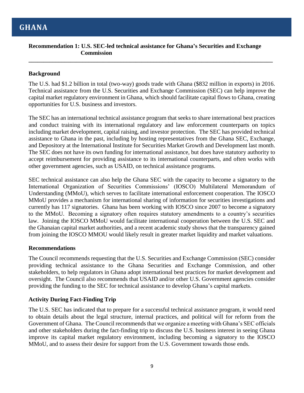# **Recommendation 1: U.S. SEC-led technical assistance for Ghana's Securities and Exchange Commission**

**\_\_\_\_\_\_\_\_\_\_\_\_\_\_\_\_\_\_\_\_\_\_\_\_\_\_\_\_\_\_\_\_\_\_\_\_\_\_\_\_\_\_\_\_\_\_\_\_\_\_\_\_\_\_\_\_\_\_\_\_\_\_\_\_\_\_\_\_\_\_\_\_\_\_\_\_\_\_\_\_\_\_**

# **Background**

The U.S. had \$1.2 billion in total (two-way) goods trade with Ghana (\$832 million in exports) in 2016. Technical assistance from the U.S. Securities and Exchange Commission (SEC) can help improve the capital market regulatory environment in Ghana, which should facilitate capital flows to Ghana, creating opportunities for U.S. business and investors.

The SEC has an international technical assistance program that seeks to share international best practices and conduct training with its international regulatory and law enforcement counterparts on topics including market development, capital raising, and investor protection. The SEC has provided technical assistance to Ghana in the past, including by hosting representatives from the Ghana SEC, Exchange, and Depository at the International Institute for Securities Market Growth and Development last month. The SEC does not have its own funding for international assistance, but does have statutory authority to accept reimbursement for providing assistance to its international counterparts, and often works with other government agencies, such as USAID, on technical assistance programs.

SEC technical assistance can also help the Ghana SEC with the capacity to become a signatory to the International Organization of Securities Commissions' (IOSCO) Multilateral Memorandum of Understanding (MMoU), which serves to facilitate international enforcement cooperation. The IOSCO MMoU provides a mechanism for international sharing of information for securities investigations and currently has 117 signatories. Ghana has been working with IOSCO since 2007 to become a signatory to the MMoU. Becoming a signatory often requires statutory amendments to a country's securities law. Joining the IOSCO MMoU would facilitate international cooperation between the U.S. SEC and the Ghanaian capital market authorities, and a recent academic study shows that the transparency gained from joining the IOSCO MMOU would likely result in greater market liquidity and market valuations.

# **Recommendations**

The Council recommends requesting that the U.S. Securities and Exchange Commission (SEC) consider providing technical assistance to the Ghana Securities and Exchange Commission, and other stakeholders, to help regulators in Ghana adopt international best practices for market development and oversight. The Council also recommends that USAID and/or other U.S. Government agencies consider providing the funding to the SEC for technical assistance to develop Ghana's capital markets.

# **Activity During Fact-Finding Trip**

The U.S. SEC has indicated that to prepare for a successful technical assistance program, it would need to obtain details about the legal structure, internal practices, and political will for reform from the Government of Ghana. The Council recommends that we organize a meeting with Ghana's SEC officials and other stakeholders during the fact-finding trip to discuss the U.S. business interest in seeing Ghana improve its capital market regulatory environment, including becoming a signatory to the IOSCO MMoU, and to assess their desire for support from the U.S. Government towards those ends.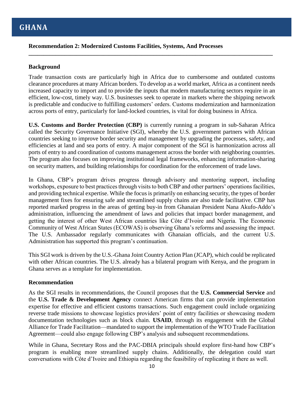# **Recommendation 2: Modernized Customs Facilities, Systems, And Processes**

# **Background**

Trade transaction costs are particularly high in Africa due to cumbersome and outdated customs clearance procedures at many African borders. To develop as a world market, Africa as a continent needs increased capacity to import and to provide the inputs that modern manufacturing sectors require in an efficient, low-cost, timely way. U.S. businesses seek to operate in markets where the shipping network is predictable and conducive to fulfilling customers' orders. Customs modernization and harmonization across ports of entry, particularly for land-locked countries, is vital for doing business in Africa.

**\_\_\_\_\_\_\_\_\_\_\_\_\_\_\_\_\_\_\_\_\_\_\_\_\_\_\_\_\_\_\_\_\_\_\_\_\_\_\_\_\_\_\_\_\_\_\_\_\_\_\_\_\_\_\_\_\_\_\_\_\_\_\_\_\_\_\_\_\_\_\_\_\_\_\_\_\_\_\_\_\_\_**

**U.S. Customs and Border Protection (CBP)** is currently running a program in sub-Saharan Africa called the Security Governance Initiative (SGI), whereby the U.S. government partners with African countries seeking to improve border security and management by upgrading the processes, safety, and efficiencies at land and sea ports of entry. A major component of the SGI is harmonization across all ports of entry to and coordination of customs management across the border with neighboring countries. The program also focuses on improving institutional legal frameworks, enhancing information-sharing on security matters, and building relationships for coordination for the enforcement of trade laws.

In Ghana, CBP's program drives progress through advisory and mentoring support, including workshops, exposure to best practices through visits to both CBP and other partners' operations facilities, and providing technical expertise. While the focus is primarily on enhancing security, the types of border management fixes for ensuring safe and streamlined supply chains are also trade facilitative. CBP has reported marked progress in the areas of getting buy-in from Ghanaian President Nana Akufo-Addo's administration, influencing the amendment of laws and policies that impact border management, and getting the interest of other West African countries like Côte d'Ivoire and Nigeria. The Economic Community of West African States (ECOWAS) is observing Ghana's reforms and assessing the impact. The U.S. Ambassador regularly communicates with Ghanaian officials, and the current U.S. Administration has supported this program's continuation.

This SGI work is driven by the U.S.-Ghana Joint Country Action Plan (JCAP), which could be replicated with other African countries. The U.S. already has a bilateral program with Kenya, and the program in Ghana serves as a template for implementation.

# **Recommendation**

As the SGI results in recommendations, the Council proposes that the **U.S. Commercial Service** and the **U.S. Trade & Development Agency** connect American firms that can provide implementation expertise for effective and efficient customs transactions. Such engagement could include organizing reverse trade missions to showcase logistics providers' point of entry facilities or showcasing modern documentation technologies such as block chain. **USAID**, through its engagement with the Global Alliance for Trade Facilitation—mandated to support the implementation of the WTO Trade Facilitation Agreement—could also engage following CBP's analysis and subsequent recommendations.

While in Ghana, Secretary Ross and the PAC-DBIA principals should explore first-hand how CBP's program is enabling more streamlined supply chains. Additionally, the delegation could start conversations with Côte d'Ivoire and Ethiopia regarding the feasibility of replicating it there as well.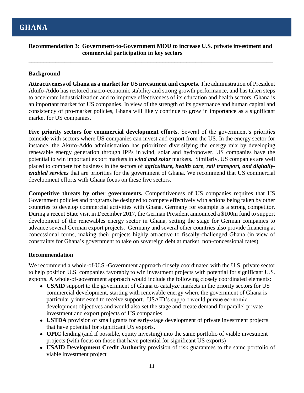# **Recommendation 3: Government-to-Government MOU to increase U.S. private investment and commercial participation in key sectors**

**\_\_\_\_\_\_\_\_\_\_\_\_\_\_\_\_\_\_\_\_\_\_\_\_\_\_\_\_\_\_\_\_\_\_\_\_\_\_\_\_\_\_\_\_\_\_\_\_\_\_\_\_\_\_\_\_\_\_\_\_\_\_\_\_\_\_\_\_\_\_\_\_\_\_\_\_\_\_\_\_\_\_**

# **Background**

**Attractiveness of Ghana as a market for US investment and exports.** The administration of President Akufo-Addo has restored macro-economic stability and strong growth performance, and has taken steps to accelerate industrialization and to improve effectiveness of its education and health sectors. Ghana is an important market for US companies. In view of the strength of its governance and human capital and consistency of pro-market policies, Ghana will likely continue to grow in importance as a significant market for US companies.

**Five priority sectors for commercial development efforts.** Several of the government's priorities coincide with sectors where US companies can invest and export from the US. In the energy sector for instance, the Akufo-Addo administration has prioritized diversifying the energy mix by developing renewable energy generation through IPPs in wind, solar and hydropower. US companies have the potential to win important export markets in *wind and solar* markets. Similarly, US companies are well placed to compete for business in the sectors of *agriculture***,** *health care*, *rail transport, and digitallyenabled services* that are priorities for the government of Ghana. We recommend that US commercial development efforts with Ghana focus on these five sectors.

**Competitive threats by other governments.** Competitiveness of US companies requires that US Government policies and programs be designed to compete effectively with actions being taken by other countries to develop commercial activities with Ghana, Germany for example is a strong competitor. During a recent State visit in December 2017, the German President announced a \$100m fund to support development of the renewables energy sector in Ghana, setting the stage for German companies to advance several German export projects. Germany and several other countries also provide financing at concessional terms, making their projects highly attractive to fiscally-challenged Ghana (in view of constraints for Ghana's government to take on sovereign debt at market, non-concessional rates).

# **Recommendation**

We recommend a whole-of-U.S.-Government approach closely coordinated with the U.S. private sector to help position U.S. companies favorably to win investment projects with potential for significant U.S. exports. A whole-of-government approach would include the following closely coordinated elements:

- **USAID** support to the government of Ghana to catalyze markets in the priority sectors for US commercial development, starting with renewable energy where the government of Ghana is particularly interested to receive support. USAID's support would pursue economic development objectives and would also set the stage and create demand for parallel private investment and export projects of US companies.
- **● USTDA** provision of small grants for early-stage development of private investment projects that have potential for significant US exports.
- **OPIC** lending (and if possible, equity investing) into the same portfolio of viable investment projects (with focus on those that have potential for significant US exports)
- **● USAID Development Credit Authority** provision of risk guarantees to the same portfolio of viable investment project